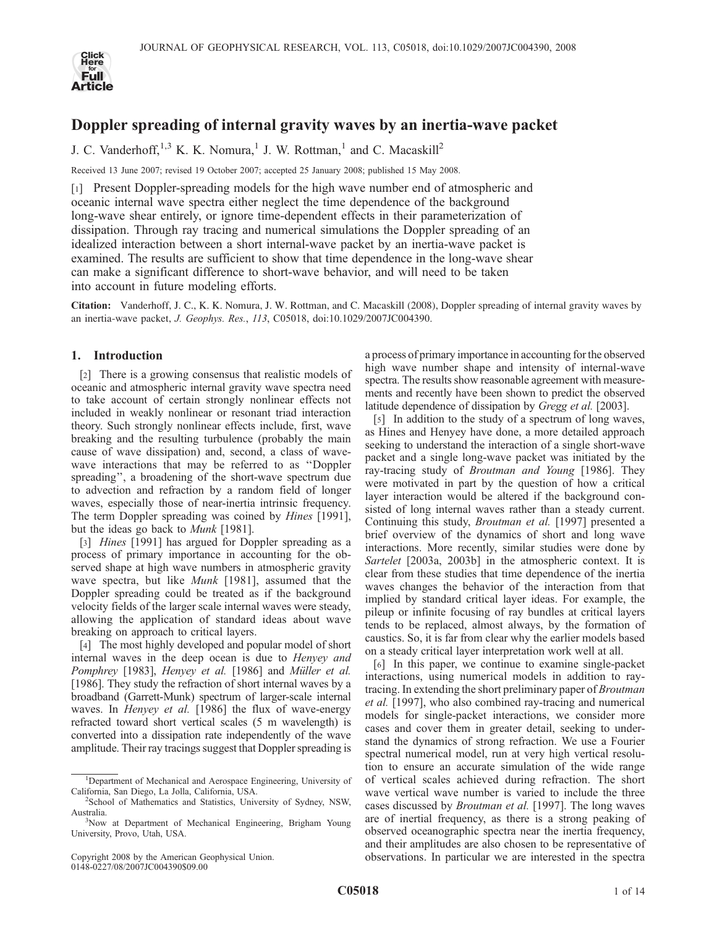

# Doppler spreading of internal gravity waves by an inertia-wave packet

J. C. Vanderhoff,<sup>1,3</sup> K. K. Nomura,<sup>1</sup> J. W. Rottman,<sup>1</sup> and C. Macaskill<sup>2</sup>

Received 13 June 2007; revised 19 October 2007; accepted 25 January 2008; published 15 May 2008.

[1] Present Doppler-spreading models for the high wave number end of atmospheric and oceanic internal wave spectra either neglect the time dependence of the background long-wave shear entirely, or ignore time-dependent effects in their parameterization of dissipation. Through ray tracing and numerical simulations the Doppler spreading of an idealized interaction between a short internal-wave packet by an inertia-wave packet is examined. The results are sufficient to show that time dependence in the long-wave shear can make a significant difference to short-wave behavior, and will need to be taken into account in future modeling efforts.

Citation: Vanderhoff, J. C., K. K. Nomura, J. W. Rottman, and C. Macaskill (2008), Doppler spreading of internal gravity waves by an inertia-wave packet, J. Geophys. Res., 113, C05018, doi:10.1029/2007JC004390.

# 1. Introduction

[2] There is a growing consensus that realistic models of oceanic and atmospheric internal gravity wave spectra need to take account of certain strongly nonlinear effects not included in weakly nonlinear or resonant triad interaction theory. Such strongly nonlinear effects include, first, wave breaking and the resulting turbulence (probably the main cause of wave dissipation) and, second, a class of wavewave interactions that may be referred to as ''Doppler spreading'', a broadening of the short-wave spectrum due to advection and refraction by a random field of longer waves, especially those of near-inertia intrinsic frequency. The term Doppler spreading was coined by Hines [1991], but the ideas go back to *Munk* [1981].

[3] *Hines* [1991] has argued for Doppler spreading as a process of primary importance in accounting for the observed shape at high wave numbers in atmospheric gravity wave spectra, but like Munk [1981], assumed that the Doppler spreading could be treated as if the background velocity fields of the larger scale internal waves were steady, allowing the application of standard ideas about wave breaking on approach to critical layers.

[4] The most highly developed and popular model of short internal waves in the deep ocean is due to Henyey and Pomphrey [1983], Henyey et al. [1986] and Müller et al. [1986]. They study the refraction of short internal waves by a broadband (Garrett-Munk) spectrum of larger-scale internal waves. In Henyey et al. [1986] the flux of wave-energy refracted toward short vertical scales (5 m wavelength) is converted into a dissipation rate independently of the wave amplitude. Their ray tracings suggest that Doppler spreading is

a process of primary importance in accounting for the observed high wave number shape and intensity of internal-wave spectra. The results show reasonable agreement with measurements and recently have been shown to predict the observed latitude dependence of dissipation by Gregg et al. [2003].

[5] In addition to the study of a spectrum of long waves, as Hines and Henyey have done, a more detailed approach seeking to understand the interaction of a single short-wave packet and a single long-wave packet was initiated by the ray-tracing study of Broutman and Young [1986]. They were motivated in part by the question of how a critical layer interaction would be altered if the background consisted of long internal waves rather than a steady current. Continuing this study, Broutman et al. [1997] presented a brief overview of the dynamics of short and long wave interactions. More recently, similar studies were done by Sartelet [2003a, 2003b] in the atmospheric context. It is clear from these studies that time dependence of the inertia waves changes the behavior of the interaction from that implied by standard critical layer ideas. For example, the pileup or infinite focusing of ray bundles at critical layers tends to be replaced, almost always, by the formation of caustics. So, it is far from clear why the earlier models based on a steady critical layer interpretation work well at all.

[6] In this paper, we continue to examine single-packet interactions, using numerical models in addition to raytracing. In extending the short preliminary paper of Broutman et al. [1997], who also combined ray-tracing and numerical models for single-packet interactions, we consider more cases and cover them in greater detail, seeking to understand the dynamics of strong refraction. We use a Fourier spectral numerical model, run at very high vertical resolution to ensure an accurate simulation of the wide range of vertical scales achieved during refraction. The short wave vertical wave number is varied to include the three cases discussed by Broutman et al. [1997]. The long waves are of inertial frequency, as there is a strong peaking of observed oceanographic spectra near the inertia frequency, and their amplitudes are also chosen to be representative of observations. In particular we are interested in the spectra

<sup>&</sup>lt;sup>1</sup>Department of Mechanical and Aerospace Engineering, University of California, San Diego, La Jolla, California, USA. <sup>2</sup>

<sup>&</sup>lt;sup>2</sup>School of Mathematics and Statistics, University of Sydney, NSW, Australia. <sup>3</sup>

<sup>&</sup>lt;sup>3</sup>Now at Department of Mechanical Engineering, Brigham Young University, Provo, Utah, USA.

Copyright 2008 by the American Geophysical Union. 0148-0227/08/2007JC004390\$09.00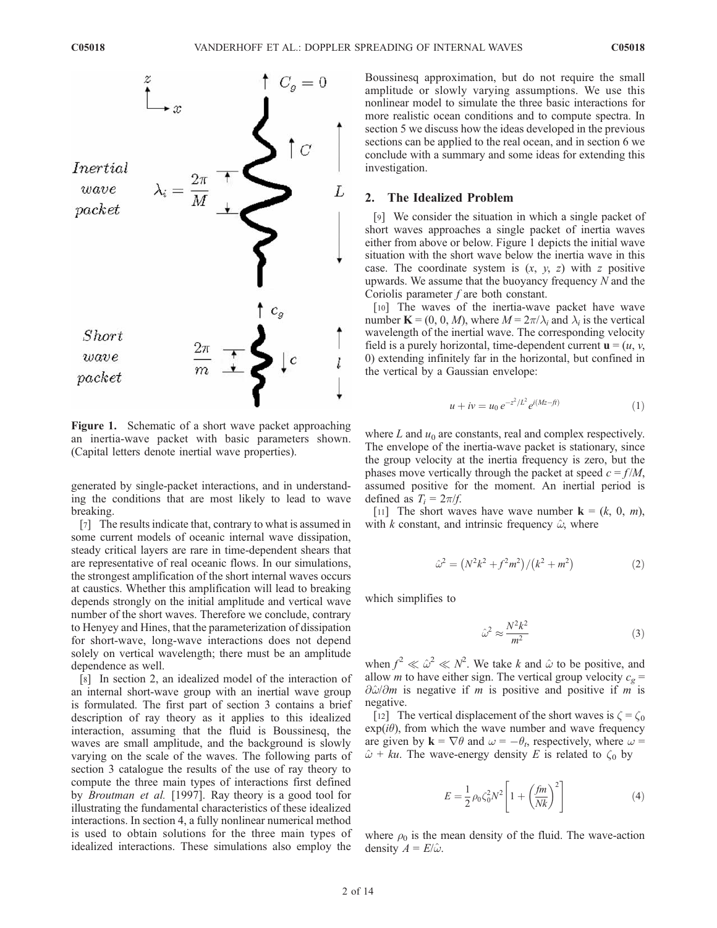

Figure 1. Schematic of a short wave packet approaching an inertia-wave packet with basic parameters shown. (Capital letters denote inertial wave properties).

generated by single-packet interactions, and in understanding the conditions that are most likely to lead to wave breaking.

[7] The results indicate that, contrary to what is assumed in some current models of oceanic internal wave dissipation, steady critical layers are rare in time-dependent shears that are representative of real oceanic flows. In our simulations, the strongest amplification of the short internal waves occurs at caustics. Whether this amplification will lead to breaking depends strongly on the initial amplitude and vertical wave number of the short waves. Therefore we conclude, contrary to Henyey and Hines, that the parameterization of dissipation for short-wave, long-wave interactions does not depend solely on vertical wavelength; there must be an amplitude dependence as well.

[8] In section 2, an idealized model of the interaction of an internal short-wave group with an inertial wave group is formulated. The first part of section 3 contains a brief description of ray theory as it applies to this idealized interaction, assuming that the fluid is Boussinesq, the waves are small amplitude, and the background is slowly varying on the scale of the waves. The following parts of section 3 catalogue the results of the use of ray theory to compute the three main types of interactions first defined by Broutman et al. [1997]. Ray theory is a good tool for illustrating the fundamental characteristics of these idealized interactions. In section 4, a fully nonlinear numerical method is used to obtain solutions for the three main types of idealized interactions. These simulations also employ the

Boussinesq approximation, but do not require the small amplitude or slowly varying assumptions. We use this nonlinear model to simulate the three basic interactions for more realistic ocean conditions and to compute spectra. In section 5 we discuss how the ideas developed in the previous sections can be applied to the real ocean, and in section 6 we conclude with a summary and some ideas for extending this investigation.

## 2. The Idealized Problem

[9] We consider the situation in which a single packet of short waves approaches a single packet of inertia waves either from above or below. Figure 1 depicts the initial wave situation with the short wave below the inertia wave in this case. The coordinate system is  $(x, y, z)$  with z positive upwards. We assume that the buoyancy frequency N and the Coriolis parameter  $f$  are both constant.

[10] The waves of the inertia-wave packet have wave number  $\mathbf{K} = (0, 0, M)$ , where  $M = 2\pi/\lambda_i$  and  $\lambda_i$  is the vertical wavelength of the inertial wave. The corresponding velocity field is a purely horizontal, time-dependent current  $\mathbf{u} = (u, v, v)$ 0) extending infinitely far in the horizontal, but confined in the vertical by a Gaussian envelope:

$$
u + iv = u_0 e^{-z^2/L^2} e^{i(Mz - f t)}
$$
\n(1)

where  $L$  and  $u_0$  are constants, real and complex respectively. The envelope of the inertia-wave packet is stationary, since the group velocity at the inertia frequency is zero, but the phases move vertically through the packet at speed  $c = f/M$ , assumed positive for the moment. An inertial period is defined as  $T_i = 2\pi/f$ .

[11] The short waves have wave number  $\mathbf{k} = (k, 0, m)$ , with k constant, and intrinsic frequency  $\hat{\omega}$ , where

$$
\hat{\omega}^2 = (N^2k^2 + f^2m^2)/(k^2 + m^2)
$$
 (2)

which simplifies to

$$
\hat{\omega}^2 \approx \frac{N^2 k^2}{m^2} \tag{3}
$$

when  $f^2 \ll \hat{\omega}^2 \ll N^2$ . We take k and  $\hat{\omega}$  to be positive, and allow *m* to have either sign. The vertical group velocity  $c_g$  =  $\partial \hat{\omega}/\partial m$  is negative if m is positive and positive if m is negative.

[12] The vertical displacement of the short waves is  $\zeta = \zeta_0$  $exp(i\theta)$ , from which the wave number and wave frequency are given by  $\mathbf{k} = \nabla \theta$  and  $\omega = -\theta_t$ , respectively, where  $\omega =$  $\hat{\omega}$  + ku. The wave-energy density E is related to  $\zeta_0$  by

$$
E = \frac{1}{2} \rho_0 \zeta_0^2 N^2 \left[ 1 + \left( \frac{fm}{Nk} \right)^2 \right]
$$
 (4)

where  $\rho_0$  is the mean density of the fluid. The wave-action density  $A = E/\hat{\omega}$ .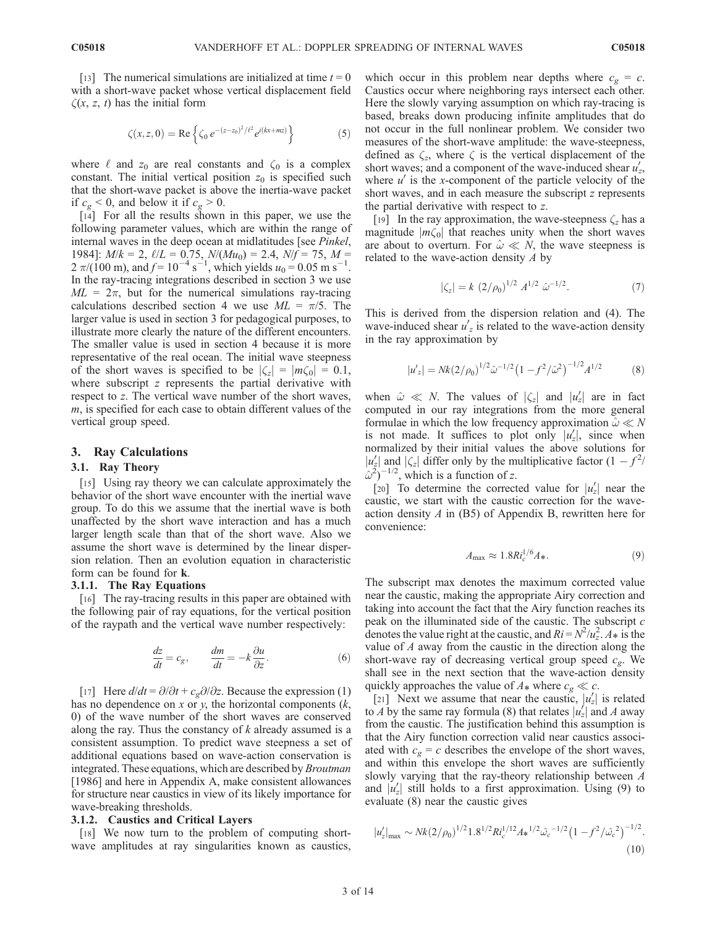[13] The numerical simulations are initialized at time  $t = 0$ with a short-wave packet whose vertical displacement field  $\zeta(x, z, t)$  has the initial form

$$
\zeta(x, z, 0) = \text{Re}\left\{\zeta_0 e^{-(z-z_0)^2/\ell^2} e^{i(kx+ mz)}\right\}
$$
 (5)

where  $\ell$  and  $z_0$  are real constants and  $\zeta_0$  is a complex constant. The initial vertical position  $z_0$  is specified such that the short-wave packet is above the inertia-wave packet if  $c_g \leq 0$ , and below it if  $c_g \geq 0$ .

[14] For all the results shown in this paper, we use the following parameter values, which are within the range of internal waves in the deep ocean at midlatitudes [see Pinkel, 1984]:  $M/k = 2$ ,  $\ell/L = 0.75$ ,  $N/(Mu_0) = 2.4$ ,  $N/f = 75$ ,  $M =$  $2 \pi/(100 \text{ m})$ , and  $f = 10^{-4} \text{ s}^{-1}$ , which yields  $u_0 = 0.05 \text{ m s}^{-1}$ . In the ray-tracing integrations described in section 3 we use  $ML = 2\pi$ , but for the numerical simulations ray-tracing calculations described section 4 we use  $ML = \pi/5$ . The larger value is used in section 3 for pedagogical purposes, to illustrate more clearly the nature of the different encounters. The smaller value is used in section 4 because it is more representative of the real ocean. The initial wave steepness of the short waves is specified to be  $|\zeta_z| = |m\zeta_0| = 0.1$ , where subscript  $z$  represents the partial derivative with respect to z. The vertical wave number of the short waves, m, is specified for each case to obtain different values of the vertical group speed.

### 3. Ray Calculations

#### 3.1. Ray Theory

[15] Using ray theory we can calculate approximately the behavior of the short wave encounter with the inertial wave group. To do this we assume that the inertial wave is both unaffected by the short wave interaction and has a much larger length scale than that of the short wave. Also we assume the short wave is determined by the linear dispersion relation. Then an evolution equation in characteristic form can be found for k.

# 3.1.1. The Ray Equations

[16] The ray-tracing results in this paper are obtained with the following pair of ray equations, for the vertical position of the raypath and the vertical wave number respectively:

$$
\frac{dz}{dt} = c_g, \qquad \frac{dm}{dt} = -k\frac{\partial u}{\partial z}.
$$
 (6)

[17] Here  $d/dt = \partial/\partial t + c_{\varrho}\partial/\partial z$ . Because the expression (1) has no dependence on x or y, the horizontal components  $(k,$ 0) of the wave number of the short waves are conserved along the ray. Thus the constancy of  $k$  already assumed is a consistent assumption. To predict wave steepness a set of additional equations based on wave-action conservation is integrated. These equations, which are described by Broutman [1986] and here in Appendix A, make consistent allowances for structure near caustics in view of its likely importance for wave-breaking thresholds.

#### 3.1.2. Caustics and Critical Layers

[18] We now turn to the problem of computing shortwave amplitudes at ray singularities known as caustics, which occur in this problem near depths where  $c_g = c$ . Caustics occur where neighboring rays intersect each other. Here the slowly varying assumption on which ray-tracing is based, breaks down producing infinite amplitudes that do not occur in the full nonlinear problem. We consider two measures of the short-wave amplitude: the wave-steepness, defined as  $\zeta_z$ , where  $\zeta$  is the vertical displacement of the short waves; and a component of the wave-induced shear  $u'_z$ , where  $u'$  is the x-component of the particle velocity of the short waves, and in each measure the subscript z represents the partial derivative with respect to z.

[19] In the ray approximation, the wave-steepness  $\zeta_z$  has a magnitude  $|m\zeta_0|$  that reaches unity when the short waves are about to overturn. For  $\hat{\omega} \ll N$ , the wave steepness is related to the wave-action density  $A$  by

$$
|\zeta_z| = k (2/\rho_0)^{1/2} A^{1/2} \hat{\omega}^{-1/2}.
$$
 (7)

This is derived from the dispersion relation and (4). The wave-induced shear  $u'_{z}$  is related to the wave-action density in the ray approximation by

$$
|u'_{z}| = Nk(2/\rho_0)^{1/2}\hat{\omega}^{-1/2}(1 - f^2/\hat{\omega}^2)^{-1/2}A^{1/2}
$$
 (8)

when  $\hat{\omega} \ll N$ . The values of  $|\zeta_z|$  and  $|u'_z|$  are in fact computed in our ray integrations from the more general formulae in which the low frequency approximation  $\hat{\omega} \ll N$ is not made. It suffices to plot only  $|u'_z|$ , since when normalized by their initial values the above solutions for  $|u'_z|$  and  $|\zeta_z|$  differ only by the multiplicative factor  $(1 - f^2)$  $\hat{\omega}^2$ )<sup>-1/2</sup>, which is a function of z.

[20] To determine the corrected value for  $|u'_z|$  near the caustic, we start with the caustic correction for the waveaction density  $A$  in (B5) of Appendix B, rewritten here for convenience:

$$
A_{\text{max}} \approx 1.8R i_c^{1/6} A*,\tag{9}
$$

The subscript max denotes the maximum corrected value near the caustic, making the appropriate Airy correction and taking into account the fact that the Airy function reaches its peak on the illuminated side of the caustic. The subscript c denotes the value right at the caustic, and  $Ri = N^2/u_z^2$ .  $A_*$  is the value of  $A$  away from the caustic in the direction along the short-wave ray of decreasing vertical group speed  $c<sub>g</sub>$ . We shall see in the next section that the wave-action density quickly approaches the value of  $A_*$  where  $c_g \ll c$ .

[21] Next we assume that near the caustic,  $|u'_z|$  is related to A by the same ray formula (8) that relates  $|u'_z|$  and A away from the caustic. The justification behind this assumption is that the Airy function correction valid near caustics associated with  $c_g = c$  describes the envelope of the short waves, and within this envelope the short waves are sufficiently slowly varying that the ray-theory relationship between A and  $|u'_z|$  still holds to a first approximation. Using (9) to evaluate (8) near the caustic gives

$$
|u'_z|_{\text{max}} \sim Nk(2/\rho_0)^{1/2} 1.8^{1/2} Ri_c^{1/12} A_*^{1/2} \hat{\omega}_c^{-1/2} \left(1 - f^2/\hat{\omega}_c^2\right)^{-1/2}.
$$
\n(10)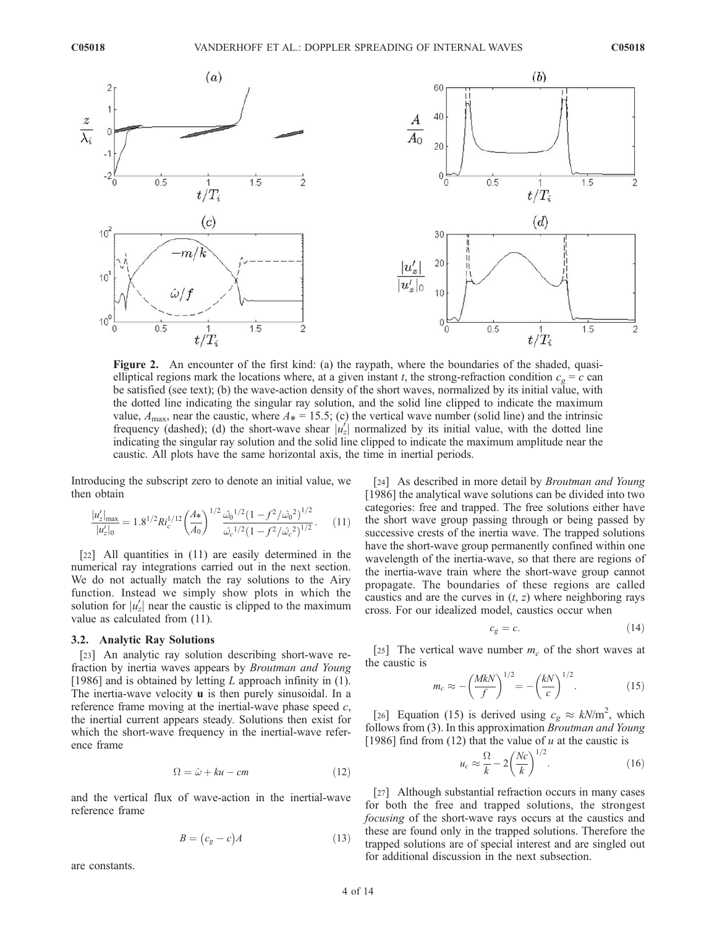

Figure 2. An encounter of the first kind: (a) the raypath, where the boundaries of the shaded, quasielliptical regions mark the locations where, at a given instant t, the strong-refraction condition  $c_g = c$  can be satisfied (see text); (b) the wave-action density of the short waves, normalized by its initial value, with the dotted line indicating the singular ray solution, and the solid line clipped to indicate the maximum value,  $A_{\text{max}}$ , near the caustic, where  $A_{*} = 15.5$ ; (c) the vertical wave number (solid line) and the intrinsic frequency (dashed); (d) the short-wave shear  $|u'_z|$  normalized by its initial value, with the dotted line indicating the singular ray solution and the solid line clipped to indicate the maximum amplitude near the caustic. All plots have the same horizontal axis, the time in inertial periods.

Introducing the subscript zero to denote an initial value, we then obtain

$$
\frac{|u'_z|_{\text{max}}}{|u'_z|_0} = 1.8^{1/2} Ri_c^{1/12} \left(\frac{A_*}{A_0}\right)^{1/2} \frac{\hat{\omega_0}^{1/2} (1 - f^2 / \hat{\omega_0}^2)^{1/2}}{\hat{\omega_c}^{1/2} (1 - f^2 / \hat{\omega_c}^2)^{1/2}}.
$$
 (11)

[22] All quantities in (11) are easily determined in the numerical ray integrations carried out in the next section. We do not actually match the ray solutions to the Airy function. Instead we simply show plots in which the solution for  $|u'_z|$  near the caustic is clipped to the maximum value as calculated from (11).

#### 3.2. Analytic Ray Solutions

[23] An analytic ray solution describing short-wave refraction by inertia waves appears by Broutman and Young [1986] and is obtained by letting  $L$  approach infinity in (1). The inertia-wave velocity **u** is then purely sinusoidal. In a reference frame moving at the inertial-wave phase speed  $c$ , the inertial current appears steady. Solutions then exist for which the short-wave frequency in the inertial-wave reference frame

$$
\Omega = \hat{\omega} + ku - cm \tag{12}
$$

and the vertical flux of wave-action in the inertial-wave reference frame

$$
B = (c_g - c)A \tag{13}
$$

are constants.

[24] As described in more detail by *Broutman and Young* [1986] the analytical wave solutions can be divided into two categories: free and trapped. The free solutions either have the short wave group passing through or being passed by successive crests of the inertia wave. The trapped solutions have the short-wave group permanently confined within one wavelength of the inertia-wave, so that there are regions of the inertia-wave train where the short-wave group cannot propagate. The boundaries of these regions are called caustics and are the curves in  $(t, z)$  where neighboring rays cross. For our idealized model, caustics occur when

$$
c_g = c.\t\t(14)
$$

[25] The vertical wave number  $m_c$  of the short waves at the caustic is

$$
m_c \approx -\left(\frac{MkN}{f}\right)^{1/2} = -\left(\frac{kN}{c}\right)^{1/2}.
$$
 (15)

[26] Equation (15) is derived using  $c_g \approx kN/m^2$ , which follows from (3). In this approximation Broutman and Young [1986] find from (12) that the value of  $u$  at the caustic is

$$
u_c \approx \frac{\Omega}{k} - 2\left(\frac{Nc}{k}\right)^{1/2}.\tag{16}
$$

[27] Although substantial refraction occurs in many cases for both the free and trapped solutions, the strongest focusing of the short-wave rays occurs at the caustics and these are found only in the trapped solutions. Therefore the trapped solutions are of special interest and are singled out for additional discussion in the next subsection.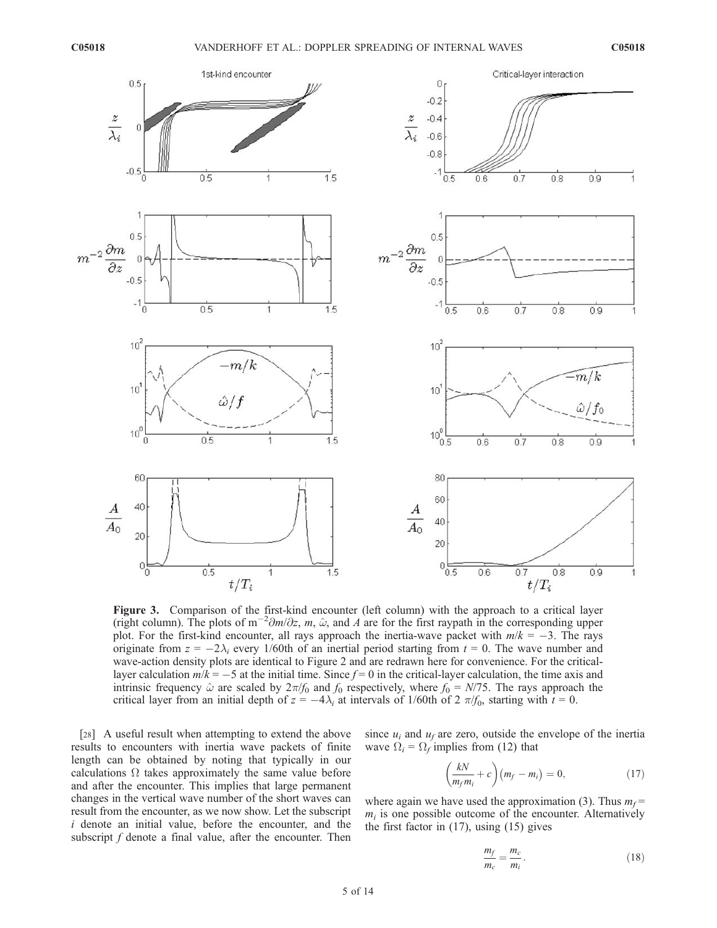

Figure 3. Comparison of the first-kind encounter (left column) with the approach to a critical layer (right column). The plots of m<sup>-2</sup> $\partial m/\partial z$ , m,  $\hat{\omega}$ , and A are for the first raypath in the corresponding upper plot. For the first-kind encounter, all rays approach the inertia-wave packet with  $m/k = -3$ . The rays originate from  $z = -2\lambda_i$  every 1/60th of an inertial period starting from  $t = 0$ . The wave number and wave-action density plots are identical to Figure 2 and are redrawn here for convenience. For the criticallayer calculation  $m/k = -5$  at the initial time. Since  $f = 0$  in the critical-layer calculation, the time axis and intrinsic frequency  $\hat{\omega}$  are scaled by  $2\pi/f_0$  and  $f_0$  respectively, where  $f_0 = N/75$ . The rays approach the critical layer from an initial depth of  $z = -4\lambda_i$  at intervals of 1/60th of 2  $\pi/f_0$ , starting with  $t = 0$ .

[28] A useful result when attempting to extend the above results to encounters with inertia wave packets of finite length can be obtained by noting that typically in our calculations  $\Omega$  takes approximately the same value before and after the encounter. This implies that large permanent changes in the vertical wave number of the short waves can result from the encounter, as we now show. Let the subscript i denote an initial value, before the encounter, and the subscript  $f$  denote a final value, after the encounter. Then since  $u_i$  and  $u_f$  are zero, outside the envelope of the inertia wave  $\Omega_i = \Omega_f$  implies from (12) that

$$
\left(\frac{kN}{m_f m_i} + c\right)(m_f - m_i) = 0, \qquad (17)
$$

where again we have used the approximation (3). Thus  $m_f$  =  $m_i$  is one possible outcome of the encounter. Alternatively the first factor in (17), using (15) gives

$$
\frac{m_f}{m_c} = \frac{m_c}{m_i}.\tag{18}
$$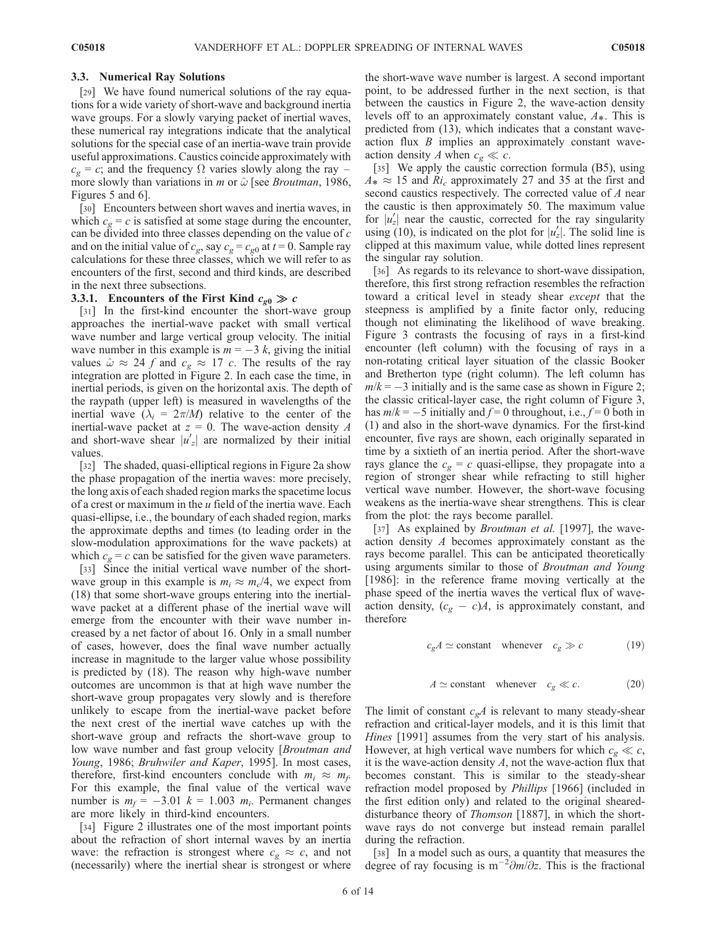## 3.3. Numerical Ray Solutions

[29] We have found numerical solutions of the ray equations for a wide variety of short-wave and background inertia wave groups. For a slowly varying packet of inertial waves, these numerical ray integrations indicate that the analytical solutions for the special case of an inertia-wave train provide useful approximations. Caustics coincide approximately with  $c_{\varphi} = c$ ; and the frequency  $\Omega$  varies slowly along the ray – more slowly than variations in *m* or  $\hat{\omega}$  [see *Broutman*, 1986, Figures 5 and 6].

[30] Encounters between short waves and inertia waves, in which  $c_g = c$  is satisfied at some stage during the encounter, can be divided into three classes depending on the value of c and on the initial value of  $c_g$ , say  $c_g = c_{g0}$  at  $t = 0$ . Sample ray calculations for these three classes, which we will refer to as encounters of the first, second and third kinds, are described in the next three subsections.

## 3.3.1. Encounters of the First Kind  $c_{g0} \gg c$

[31] In the first-kind encounter the short-wave group approaches the inertial-wave packet with small vertical wave number and large vertical group velocity. The initial wave number in this example is  $m = -3k$ , giving the initial values  $\hat{\omega} \approx 24$  f and  $c_g \approx 17$  c. The results of the ray integration are plotted in Figure 2. In each case the time, in inertial periods, is given on the horizontal axis. The depth of the raypath (upper left) is measured in wavelengths of the inertial wave  $(\lambda_i = 2\pi/M)$  relative to the center of the inertial-wave packet at  $z = 0$ . The wave-action density A and short-wave shear  $|u'_z|$  are normalized by their initial values.

[32] The shaded, quasi-elliptical regions in Figure 2a show the phase propagation of the inertia waves: more precisely, the long axis of each shaded region marks the spacetime locus of a crest or maximum in the  $u$  field of the inertia wave. Each quasi-ellipse, i.e., the boundary of each shaded region, marks the approximate depths and times (to leading order in the slow-modulation approximations for the wave packets) at which  $c_g = c$  can be satisfied for the given wave parameters.

[33] Since the initial vertical wave number of the shortwave group in this example is  $m_i \approx m_c/4$ , we expect from (18) that some short-wave groups entering into the inertialwave packet at a different phase of the inertial wave will emerge from the encounter with their wave number increased by a net factor of about 16. Only in a small number of cases, however, does the final wave number actually increase in magnitude to the larger value whose possibility is predicted by (18). The reason why high-wave number outcomes are uncommon is that at high wave number the short-wave group propagates very slowly and is therefore unlikely to escape from the inertial-wave packet before the next crest of the inertial wave catches up with the short-wave group and refracts the short-wave group to low wave number and fast group velocity [*Broutman and* Young, 1986; Bruhwiler and Kaper, 1995]. In most cases, therefore, first-kind encounters conclude with  $m_i \approx m_f$ . For this example, the final value of the vertical wave number is  $m_f = -3.01$   $k = 1.003$   $m_i$ . Permanent changes are more likely in third-kind encounters.

[34] Figure 2 illustrates one of the most important points about the refraction of short internal waves by an inertia wave: the refraction is strongest where  $c_g \approx c$ , and not (necessarily) where the inertial shear is strongest or where the short-wave wave number is largest. A second important point, to be addressed further in the next section, is that between the caustics in Figure 2, the wave-action density levels off to an approximately constant value,  $A^*$ . This is predicted from (13), which indicates that a constant waveaction flux  $B$  implies an approximately constant waveaction density A when  $c_g \ll c$ .

[35] We apply the caustic correction formula (B5), using  $A_* \approx 15$  and  $R_i$  approximately 27 and 35 at the first and second caustics respectively. The corrected value of A near the caustic is then approximately 50. The maximum value for  $|u'_z|$  near the caustic, corrected for the ray singularity using (10), is indicated on the plot for  $|u'_z|$ . The solid line is clipped at this maximum value, while dotted lines represent the singular ray solution.

[36] As regards to its relevance to short-wave dissipation, therefore, this first strong refraction resembles the refraction toward a critical level in steady shear except that the steepness is amplified by a finite factor only, reducing though not eliminating the likelihood of wave breaking. Figure 3 contrasts the focusing of rays in a first-kind encounter (left column) with the focusing of rays in a non-rotating critical layer situation of the classic Booker and Bretherton type (right column). The left column has  $m/k = -3$  initially and is the same case as shown in Figure 2; the classic critical-layer case, the right column of Figure 3, has  $m/k = -5$  initially and  $f = 0$  throughout, i.e.,  $f = 0$  both in (1) and also in the short-wave dynamics. For the first-kind encounter, five rays are shown, each originally separated in time by a sixtieth of an inertia period. After the short-wave rays glance the  $c_g = c$  quasi-ellipse, they propagate into a region of stronger shear while refracting to still higher vertical wave number. However, the short-wave focusing weakens as the inertia-wave shear strengthens. This is clear from the plot: the rays become parallel.

[37] As explained by *Broutman et al.* [1997], the waveaction density A becomes approximately constant as the rays become parallel. This can be anticipated theoretically using arguments similar to those of Broutman and Young [1986]: in the reference frame moving vertically at the phase speed of the inertia waves the vertical flux of waveaction density,  $(c_g - c)A$ , is approximately constant, and therefore

$$
c_g A \simeq \text{constant} \quad \text{whenever} \quad c_g \gg c \tag{19}
$$

$$
A \simeq \text{constant} \quad \text{whenever} \quad c_g \ll c. \tag{20}
$$

The limit of constant  $c_gA$  is relevant to many steady-shear refraction and critical-layer models, and it is this limit that Hines [1991] assumes from the very start of his analysis. However, at high vertical wave numbers for which  $c_g \ll c$ , it is the wave-action density  $A$ , not the wave-action flux that becomes constant. This is similar to the steady-shear refraction model proposed by Phillips [1966] (included in the first edition only) and related to the original sheareddisturbance theory of *Thomson* [1887], in which the shortwave rays do not converge but instead remain parallel during the refraction.

[38] In a model such as ours, a quantity that measures the degree of ray focusing is  $m^{-2}\partial m/\partial z$ . This is the fractional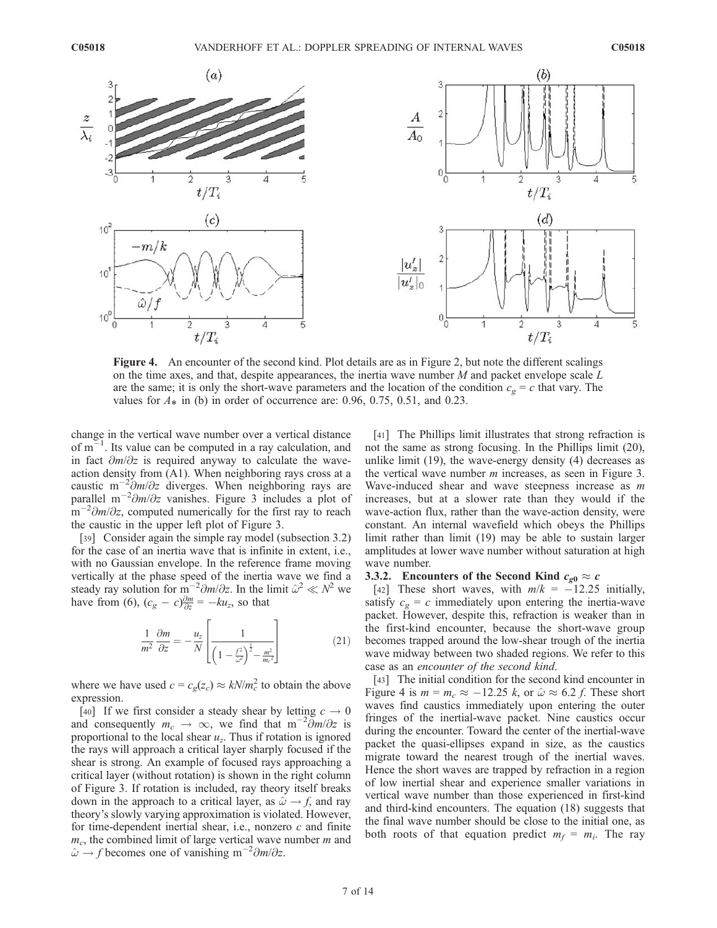

Figure 4. An encounter of the second kind. Plot details are as in Figure 2, but note the different scalings on the time axes, and that, despite appearances, the inertia wave number  $M$  and packet envelope scale  $L$ are the same; it is only the short-wave parameters and the location of the condition  $c_g = c$  that vary. The values for  $A_*$  in (b) in order of occurrence are: 0.96, 0.75, 0.51, and 0.23.

change in the vertical wave number over a vertical distance of  $m^{-1}$ . Its value can be computed in a ray calculation, and in fact  $\partial m/\partial z$  is required anyway to calculate the waveaction density from (A1). When neighboring rays cross at a caustic m<sup>-2</sup> $\partial m/\partial z$  diverges. When neighboring rays are parallel m<sup>-2</sup> $\partial m/\partial z$  vanishes. Figure 3 includes a plot of  $\sin^{-2}\frac{\partial m}{\partial z}$ , computed numerically for the first ray to reach the caustic in the upper left plot of Figure 3.

[39] Consider again the simple ray model (subsection 3.2) for the case of an inertia wave that is infinite in extent, i.e., with no Gaussian envelope. In the reference frame moving vertically at the phase speed of the inertia wave we find a steady ray solution for  $m^{-2} \partial m / \partial z$ . In the limit  $\hat{\omega}^2 \ll N^2$  we have from (6),  $(c_g - c) \frac{\partial m}{\partial z} = -k u_z$ , so that

$$
\frac{1}{m^2} \frac{\partial m}{\partial z} = -\frac{u_z}{N} \left[ \frac{1}{\left(1 - \frac{f^2}{\tilde{\omega}^2}\right)^{\frac{1}{2}} - \frac{m^2}{m_c^2}} \right] \tag{21}
$$

where we have used  $c = c_g(z_c) \approx kN/m_c^2$  to obtain the above expression.

[40] If we first consider a steady shear by letting  $c \to 0$ and consequently  $m_c \to \infty$ , we find that  $m^{-2} \frac{\partial m}{\partial z}$  is proportional to the local shear  $u_z$ . Thus if rotation is ignored the rays will approach a critical layer sharply focused if the shear is strong. An example of focused rays approaching a critical layer (without rotation) is shown in the right column of Figure 3. If rotation is included, ray theory itself breaks down in the approach to a critical layer, as  $\hat{\omega} \rightarrow f$ , and ray theory's slowly varying approximation is violated. However, for time-dependent inertial shear, i.e., nonzero  $c$  and finite  $m_c$ , the combined limit of large vertical wave number m and  $\omega \rightarrow f$  becomes one of vanishing m<sup>-2</sup> $\partial m/\partial z$ .

[41] The Phillips limit illustrates that strong refraction is not the same as strong focusing. In the Phillips limit (20), unlike limit (19), the wave-energy density (4) decreases as the vertical wave number  $m$  increases, as seen in Figure 3. Wave-induced shear and wave steepness increase as  $m$ increases, but at a slower rate than they would if the wave-action flux, rather than the wave-action density, were constant. An internal wavefield which obeys the Phillips limit rather than limit (19) may be able to sustain larger amplitudes at lower wave number without saturation at high wave number.

#### 3.3.2. Encounters of the Second Kind  $c_{g0} \approx c$

[42] These short waves, with  $m/k = -12.25$  initially, satisfy  $c_{\varphi} = c$  immediately upon entering the inertia-wave packet. However, despite this, refraction is weaker than in the first-kind encounter, because the short-wave group becomes trapped around the low-shear trough of the inertia wave midway between two shaded regions. We refer to this case as an encounter of the second kind.

[43] The initial condition for the second kind encounter in Figure 4 is  $m = m_c \approx -12.25$  k, or  $\hat{\omega} \approx 6.2$  f. These short waves find caustics immediately upon entering the outer fringes of the inertial-wave packet. Nine caustics occur during the encounter. Toward the center of the inertial-wave packet the quasi-ellipses expand in size, as the caustics migrate toward the nearest trough of the inertial waves. Hence the short waves are trapped by refraction in a region of low inertial shear and experience smaller variations in vertical wave number than those experienced in first-kind and third-kind encounters. The equation (18) suggests that the final wave number should be close to the initial one, as both roots of that equation predict  $m_f = m_i$ . The ray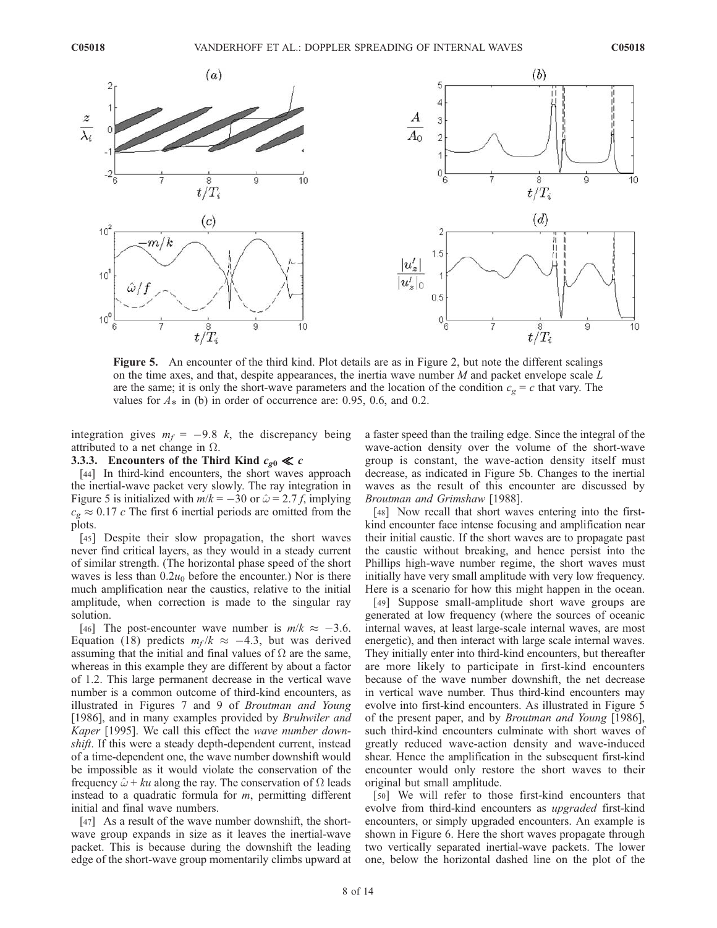

Figure 5. An encounter of the third kind. Plot details are as in Figure 2, but note the different scalings on the time axes, and that, despite appearances, the inertia wave number  $M$  and packet envelope scale  $L$ are the same; it is only the short-wave parameters and the location of the condition  $c_g = c$  that vary. The values for  $A_*$  in (b) in order of occurrence are: 0.95, 0.6, and 0.2.

integration gives  $m_f = -9.8$  k, the discrepancy being attributed to a net change in  $\Omega$ .

## 3.3.3. Encounters of the Third Kind  $c_{g0} \ll c$

[44] In third-kind encounters, the short waves approach the inertial-wave packet very slowly. The ray integration in Figure 5 is initialized with  $m/k = -30$  or  $\hat{\omega} = 2.7$  f, implying  $c_g \approx 0.17$  c The first 6 inertial periods are omitted from the plots.

[45] Despite their slow propagation, the short waves never find critical layers, as they would in a steady current of similar strength. (The horizontal phase speed of the short waves is less than  $0.2u_0$  before the encounter.) Nor is there much amplification near the caustics, relative to the initial amplitude, when correction is made to the singular ray solution.

[46] The post-encounter wave number is  $m/k \approx -3.6$ . Equation (18) predicts  $m_f / k \approx -4.3$ , but was derived assuming that the initial and final values of  $\Omega$  are the same, whereas in this example they are different by about a factor of 1.2. This large permanent decrease in the vertical wave number is a common outcome of third-kind encounters, as illustrated in Figures 7 and 9 of Broutman and Young [1986], and in many examples provided by *Bruhwiler and* Kaper [1995]. We call this effect the wave number downshift. If this were a steady depth-dependent current, instead of a time-dependent one, the wave number downshift would be impossible as it would violate the conservation of the frequency  $\hat{\omega}$  + ku along the ray. The conservation of  $\Omega$  leads instead to a quadratic formula for  $m$ , permitting different initial and final wave numbers.

[47] As a result of the wave number downshift, the shortwave group expands in size as it leaves the inertial-wave packet. This is because during the downshift the leading edge of the short-wave group momentarily climbs upward at a faster speed than the trailing edge. Since the integral of the wave-action density over the volume of the short-wave group is constant, the wave-action density itself must decrease, as indicated in Figure 5b. Changes to the inertial waves as the result of this encounter are discussed by Broutman and Grimshaw [1988].

[48] Now recall that short waves entering into the firstkind encounter face intense focusing and amplification near their initial caustic. If the short waves are to propagate past the caustic without breaking, and hence persist into the Phillips high-wave number regime, the short waves must initially have very small amplitude with very low frequency. Here is a scenario for how this might happen in the ocean.

[49] Suppose small-amplitude short wave groups are generated at low frequency (where the sources of oceanic internal waves, at least large-scale internal waves, are most energetic), and then interact with large scale internal waves. They initially enter into third-kind encounters, but thereafter are more likely to participate in first-kind encounters because of the wave number downshift, the net decrease in vertical wave number. Thus third-kind encounters may evolve into first-kind encounters. As illustrated in Figure 5 of the present paper, and by Broutman and Young [1986], such third-kind encounters culminate with short waves of greatly reduced wave-action density and wave-induced shear. Hence the amplification in the subsequent first-kind encounter would only restore the short waves to their original but small amplitude.

[50] We will refer to those first-kind encounters that evolve from third-kind encounters as upgraded first-kind encounters, or simply upgraded encounters. An example is shown in Figure 6. Here the short waves propagate through two vertically separated inertial-wave packets. The lower one, below the horizontal dashed line on the plot of the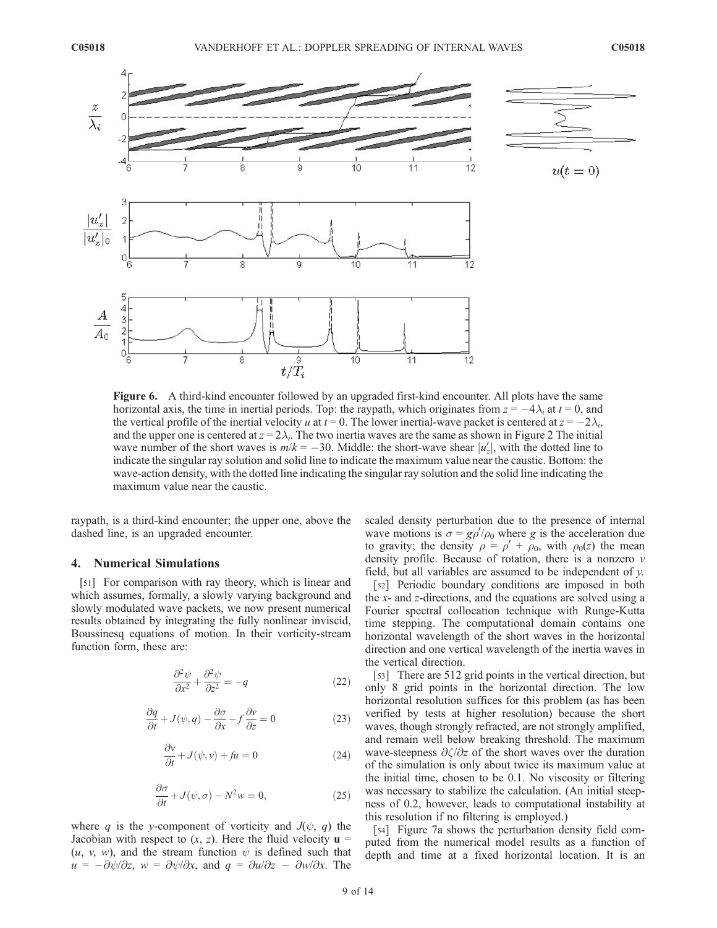

Figure 6. A third-kind encounter followed by an upgraded first-kind encounter. All plots have the same horizontal axis, the time in inertial periods. Top: the raypath, which originates from  $z = -4\lambda_i$  at  $t = 0$ , and the vertical profile of the inertial velocity u at  $t = 0$ . The lower inertial-wave packet is centered at  $z = -2\lambda_i$ , and the upper one is centered at  $z = 2\lambda_i$ . The two inertia waves are the same as shown in Figure 2 The initial wave number of the short waves is  $m/k = -30$ . Middle: the short-wave shear  $|u'_z|$ , with the dotted line to indicate the singular ray solution and solid line to indicate the maximum value near the caustic. Bottom: the wave-action density, with the dotted line indicating the singular ray solution and the solid line indicating the maximum value near the caustic.

raypath, is a third-kind encounter; the upper one, above the dashed line, is an upgraded encounter.

### 4. Numerical Simulations

[51] For comparison with ray theory, which is linear and which assumes, formally, a slowly varying background and slowly modulated wave packets, we now present numerical results obtained by integrating the fully nonlinear inviscid, Boussinesq equations of motion. In their vorticity-stream function form, these are:

$$
\frac{\partial^2 \psi}{\partial x^2} + \frac{\partial^2 \psi}{\partial z^2} = -q \tag{22}
$$

$$
\frac{\partial q}{\partial t} + J(\psi, q) - \frac{\partial \sigma}{\partial x} - f \frac{\partial v}{\partial z} = 0
$$
 (23)

$$
\frac{\partial v}{\partial t} + J(\psi, v) + fu = 0 \tag{24}
$$

$$
\frac{\partial \sigma}{\partial t} + J(\psi, \sigma) - N^2 w = 0, \qquad (25)
$$

where q is the y-component of vorticity and  $J(\psi, q)$  the Jacobian with respect to  $(x, z)$ . Here the fluid velocity  $\mathbf{u} =$  $(u, v, w)$ , and the stream function  $\psi$  is defined such that  $u = -\partial \psi/\partial z$ ,  $w = \partial \psi/\partial x$ , and  $q = \partial u/\partial z - \partial w/\partial x$ . The scaled density perturbation due to the presence of internal wave motions is  $\sigma = g\rho'/\rho_0$  where g is the acceleration due to gravity; the density  $\rho = \rho' + \rho_0$ , with  $\rho_0(z)$  the mean density profile. Because of rotation, there is a nonzero  $\nu$ field, but all variables are assumed to be independent of  $y$ .

[52] Periodic boundary conditions are imposed in both the x- and z-directions, and the equations are solved using a Fourier spectral collocation technique with Runge-Kutta time stepping. The computational domain contains one horizontal wavelength of the short waves in the horizontal direction and one vertical wavelength of the inertia waves in the vertical direction.

[53] There are 512 grid points in the vertical direction, but only 8 grid points in the horizontal direction. The low horizontal resolution suffices for this problem (as has been verified by tests at higher resolution) because the short waves, though strongly refracted, are not strongly amplified, and remain well below breaking threshold. The maximum wave-steepness  $\partial \zeta / \partial z$  of the short waves over the duration of the simulation is only about twice its maximum value at the initial time, chosen to be 0.1. No viscosity or filtering was necessary to stabilize the calculation. (An initial steepness of 0.2, however, leads to computational instability at this resolution if no filtering is employed.)

[54] Figure 7a shows the perturbation density field computed from the numerical model results as a function of depth and time at a fixed horizontal location. It is an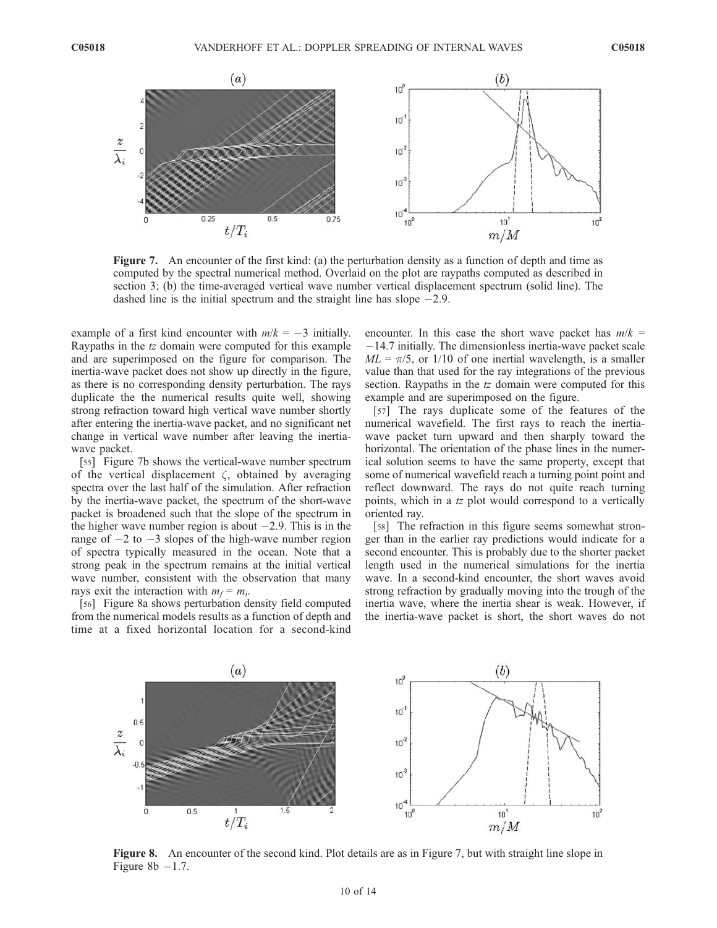

Figure 7. An encounter of the first kind: (a) the perturbation density as a function of depth and time as computed by the spectral numerical method. Overlaid on the plot are raypaths computed as described in section 3; (b) the time-averaged vertical wave number vertical displacement spectrum (solid line). The dashed line is the initial spectrum and the straight line has slope  $-2.9$ .

example of a first kind encounter with  $m/k = -3$  initially. Raypaths in the tz domain were computed for this example and are superimposed on the figure for comparison. The inertia-wave packet does not show up directly in the figure, as there is no corresponding density perturbation. The rays duplicate the the numerical results quite well, showing strong refraction toward high vertical wave number shortly after entering the inertia-wave packet, and no significant net change in vertical wave number after leaving the inertiawave packet.

[55] Figure 7b shows the vertical-wave number spectrum of the vertical displacement  $\zeta$ , obtained by averaging spectra over the last half of the simulation. After refraction by the inertia-wave packet, the spectrum of the short-wave packet is broadened such that the slope of the spectrum in the higher wave number region is about  $-2.9$ . This is in the range of  $-2$  to  $-3$  slopes of the high-wave number region of spectra typically measured in the ocean. Note that a strong peak in the spectrum remains at the initial vertical wave number, consistent with the observation that many rays exit the interaction with  $m_f = m_i$ .

[56] Figure 8a shows perturbation density field computed from the numerical models results as a function of depth and time at a fixed horizontal location for a second-kind encounter. In this case the short wave packet has  $m/k =$  $-14.7$  initially. The dimensionless inertia-wave packet scale  $ML = \pi/5$ , or 1/10 of one inertial wavelength, is a smaller value than that used for the ray integrations of the previous section. Raypaths in the tz domain were computed for this example and are superimposed on the figure.

[57] The rays duplicate some of the features of the numerical wavefield. The first rays to reach the inertiawave packet turn upward and then sharply toward the horizontal. The orientation of the phase lines in the numerical solution seems to have the same property, except that some of numerical wavefield reach a turning point point and reflect downward. The rays do not quite reach turning points, which in a tz plot would correspond to a vertically oriented ray.

[58] The refraction in this figure seems somewhat stronger than in the earlier ray predictions would indicate for a second encounter. This is probably due to the shorter packet length used in the numerical simulations for the inertia wave. In a second-kind encounter, the short waves avoid strong refraction by gradually moving into the trough of the inertia wave, where the inertia shear is weak. However, if the inertia-wave packet is short, the short waves do not



Figure 8. An encounter of the second kind. Plot details are as in Figure 7, but with straight line slope in Figure 8 $b$  -1.7.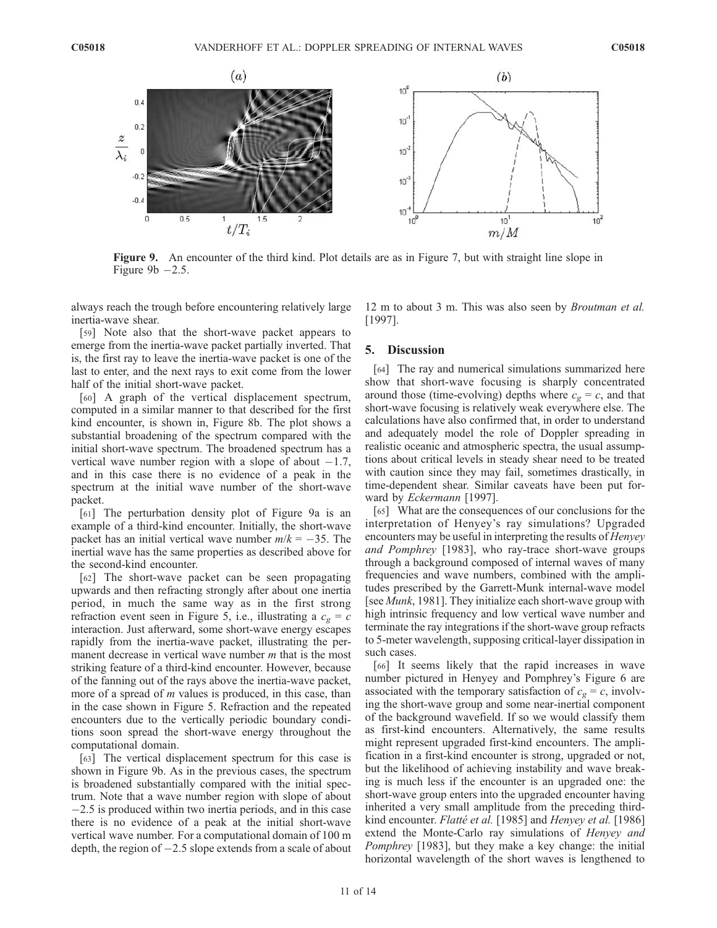

Figure 9. An encounter of the third kind. Plot details are as in Figure 7, but with straight line slope in Figure 9b  $-2.5$ .

always reach the trough before encountering relatively large inertia-wave shear.

[59] Note also that the short-wave packet appears to emerge from the inertia-wave packet partially inverted. That is, the first ray to leave the inertia-wave packet is one of the last to enter, and the next rays to exit come from the lower half of the initial short-wave packet.

[60] A graph of the vertical displacement spectrum, computed in a similar manner to that described for the first kind encounter, is shown in, Figure 8b. The plot shows a substantial broadening of the spectrum compared with the initial short-wave spectrum. The broadened spectrum has a vertical wave number region with a slope of about  $-1.7$ , and in this case there is no evidence of a peak in the spectrum at the initial wave number of the short-wave packet.

[61] The perturbation density plot of Figure 9a is an example of a third-kind encounter. Initially, the short-wave packet has an initial vertical wave number  $m/k = -35$ . The inertial wave has the same properties as described above for the second-kind encounter.

[62] The short-wave packet can be seen propagating upwards and then refracting strongly after about one inertia period, in much the same way as in the first strong refraction event seen in Figure 5, i.e., illustrating a  $c_g = c$ interaction. Just afterward, some short-wave energy escapes rapidly from the inertia-wave packet, illustrating the permanent decrease in vertical wave number *m* that is the most striking feature of a third-kind encounter. However, because of the fanning out of the rays above the inertia-wave packet, more of a spread of  $m$  values is produced, in this case, than in the case shown in Figure 5. Refraction and the repeated encounters due to the vertically periodic boundary conditions soon spread the short-wave energy throughout the computational domain.

[63] The vertical displacement spectrum for this case is shown in Figure 9b. As in the previous cases, the spectrum is broadened substantially compared with the initial spectrum. Note that a wave number region with slope of about  $-2.5$  is produced within two inertia periods, and in this case there is no evidence of a peak at the initial short-wave vertical wave number. For a computational domain of 100 m depth, the region of  $-2.5$  slope extends from a scale of about

12 m to about 3 m. This was also seen by Broutman et al. [1997].

#### 5. Discussion

[64] The ray and numerical simulations summarized here show that short-wave focusing is sharply concentrated around those (time-evolving) depths where  $c_g = c$ , and that short-wave focusing is relatively weak everywhere else. The calculations have also confirmed that, in order to understand and adequately model the role of Doppler spreading in realistic oceanic and atmospheric spectra, the usual assumptions about critical levels in steady shear need to be treated with caution since they may fail, sometimes drastically, in time-dependent shear. Similar caveats have been put forward by Eckermann [1997].

[65] What are the consequences of our conclusions for the interpretation of Henyey's ray simulations? Upgraded encounters may be useful in interpreting the results of Henyey and Pomphrey [1983], who ray-trace short-wave groups through a background composed of internal waves of many frequencies and wave numbers, combined with the amplitudes prescribed by the Garrett-Munk internal-wave model [see *Munk*, 1981]. They initialize each short-wave group with high intrinsic frequency and low vertical wave number and terminate the ray integrations if the short-wave group refracts to 5-meter wavelength, supposing critical-layer dissipation in such cases.

[66] It seems likely that the rapid increases in wave number pictured in Henyey and Pomphrey's Figure 6 are associated with the temporary satisfaction of  $c_g = c$ , involving the short-wave group and some near-inertial component of the background wavefield. If so we would classify them as first-kind encounters. Alternatively, the same results might represent upgraded first-kind encounters. The amplification in a first-kind encounter is strong, upgraded or not, but the likelihood of achieving instability and wave breaking is much less if the encounter is an upgraded one: the short-wave group enters into the upgraded encounter having inherited a very small amplitude from the preceding thirdkind encounter. Flatté et al. [1985] and Henyey et al. [1986] extend the Monte-Carlo ray simulations of Henyey and Pomphrey [1983], but they make a key change: the initial horizontal wavelength of the short waves is lengthened to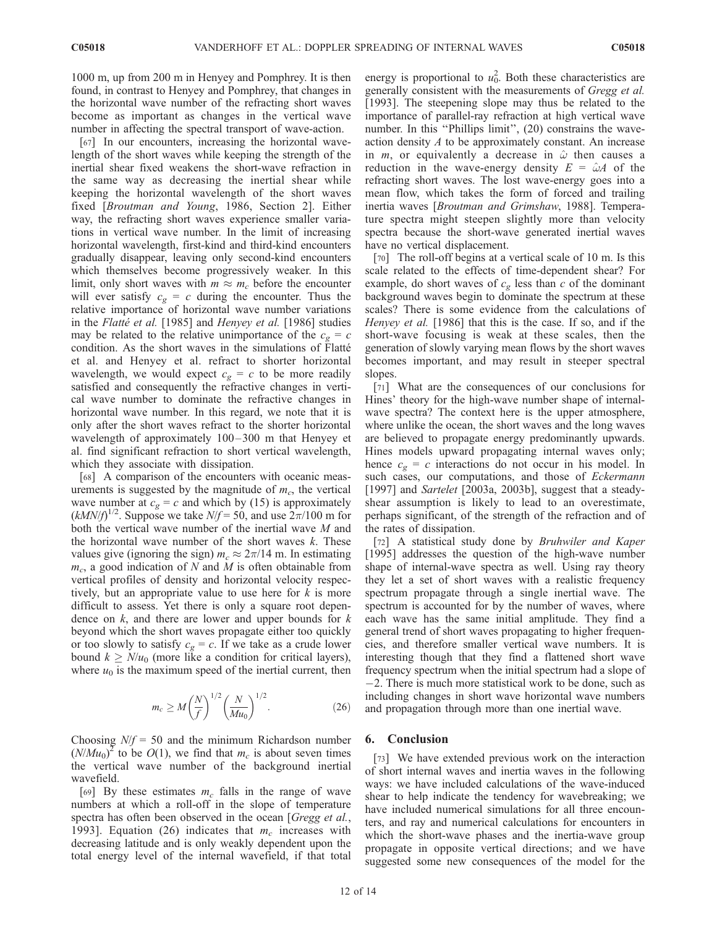1000 m, up from 200 m in Henyey and Pomphrey. It is then found, in contrast to Henyey and Pomphrey, that changes in the horizontal wave number of the refracting short waves become as important as changes in the vertical wave number in affecting the spectral transport of wave-action.

[67] In our encounters, increasing the horizontal wavelength of the short waves while keeping the strength of the inertial shear fixed weakens the short-wave refraction in the same way as decreasing the inertial shear while keeping the horizontal wavelength of the short waves fixed [Broutman and Young, 1986, Section 2]. Either way, the refracting short waves experience smaller variations in vertical wave number. In the limit of increasing horizontal wavelength, first-kind and third-kind encounters gradually disappear, leaving only second-kind encounters which themselves become progressively weaker. In this limit, only short waves with  $m \approx m_c$  before the encounter will ever satisfy  $c_g = c$  during the encounter. Thus the relative importance of horizontal wave number variations in the Flatté et al. [1985] and Henyey et al. [1986] studies may be related to the relative unimportance of the  $c_g = c$ condition. As the short waves in the simulations of Flatté et al. and Henyey et al. refract to shorter horizontal wavelength, we would expect  $c_g = c$  to be more readily satisfied and consequently the refractive changes in vertical wave number to dominate the refractive changes in horizontal wave number. In this regard, we note that it is only after the short waves refract to the shorter horizontal wavelength of approximately  $100 - 300$  m that Henyey et al. find significant refraction to short vertical wavelength, which they associate with dissipation.

[68] A comparison of the encounters with oceanic measurements is suggested by the magnitude of  $m_c$ , the vertical wave number at  $c_g = c$  and which by (15) is approximately  $(kMN/f)^{1/2}$ . Suppose we take  $N/f = 50$ , and use  $2\pi/100$  m for both the vertical wave number of the inertial wave M and the horizontal wave number of the short waves  $k$ . These values give (ignoring the sign)  $m_c \approx 2\pi/14$  m. In estimating  $m_c$ , a good indication of N and M is often obtainable from vertical profiles of density and horizontal velocity respectively, but an appropriate value to use here for  $k$  is more difficult to assess. Yet there is only a square root dependence on  $k$ , and there are lower and upper bounds for  $k$ beyond which the short waves propagate either too quickly or too slowly to satisfy  $c_g = c$ . If we take as a crude lower bound  $k \geq N/u_0$  (more like a condition for critical layers), where  $u_0$  is the maximum speed of the inertial current, then

$$
m_c \ge M \left(\frac{N}{f}\right)^{1/2} \left(\frac{N}{Mu_0}\right)^{1/2}.
$$
 (26)

Choosing  $N/f = 50$  and the minimum Richardson number  $(N/Mu_0)^2$  to be  $O(1)$ , we find that  $m_c$  is about seven times the vertical wave number of the background inertial wavefield.

[69] By these estimates  $m_c$  falls in the range of wave numbers at which a roll-off in the slope of temperature spectra has often been observed in the ocean [Gregg et al., 1993]. Equation (26) indicates that  $m_c$  increases with decreasing latitude and is only weakly dependent upon the total energy level of the internal wavefield, if that total

energy is proportional to  $u_0^2$ . Both these characteristics are generally consistent with the measurements of Gregg et al. [1993]. The steepening slope may thus be related to the importance of parallel-ray refraction at high vertical wave number. In this ''Phillips limit'', (20) constrains the waveaction density  $A$  to be approximately constant. An increase in  $m$ , or equivalently a decrease in  $\hat{\omega}$  then causes a reduction in the wave-energy density  $E = \hat{\omega}A$  of the refracting short waves. The lost wave-energy goes into a mean flow, which takes the form of forced and trailing inertia waves [Broutman and Grimshaw, 1988]. Temperature spectra might steepen slightly more than velocity spectra because the short-wave generated inertial waves have no vertical displacement.

[70] The roll-off begins at a vertical scale of 10 m. Is this scale related to the effects of time-dependent shear? For example, do short waves of  $c_g$  less than c of the dominant background waves begin to dominate the spectrum at these scales? There is some evidence from the calculations of Henyey et al. [1986] that this is the case. If so, and if the short-wave focusing is weak at these scales, then the generation of slowly varying mean flows by the short waves becomes important, and may result in steeper spectral slopes.

[71] What are the consequences of our conclusions for Hines' theory for the high-wave number shape of internalwave spectra? The context here is the upper atmosphere, where unlike the ocean, the short waves and the long waves are believed to propagate energy predominantly upwards. Hines models upward propagating internal waves only; hence  $c_g = c$  interactions do not occur in his model. In such cases, our computations, and those of Eckermann [1997] and Sartelet [2003a, 2003b], suggest that a steadyshear assumption is likely to lead to an overestimate, perhaps significant, of the strength of the refraction and of the rates of dissipation.

[72] A statistical study done by Bruhwiler and Kaper [1995] addresses the question of the high-wave number shape of internal-wave spectra as well. Using ray theory they let a set of short waves with a realistic frequency spectrum propagate through a single inertial wave. The spectrum is accounted for by the number of waves, where each wave has the same initial amplitude. They find a general trend of short waves propagating to higher frequencies, and therefore smaller vertical wave numbers. It is interesting though that they find a flattened short wave frequency spectrum when the initial spectrum had a slope of  $-2$ . There is much more statistical work to be done, such as including changes in short wave horizontal wave numbers and propagation through more than one inertial wave.

## 6. Conclusion

[73] We have extended previous work on the interaction of short internal waves and inertia waves in the following ways: we have included calculations of the wave-induced shear to help indicate the tendency for wavebreaking; we have included numerical simulations for all three encounters, and ray and numerical calculations for encounters in which the short-wave phases and the inertia-wave group propagate in opposite vertical directions; and we have suggested some new consequences of the model for the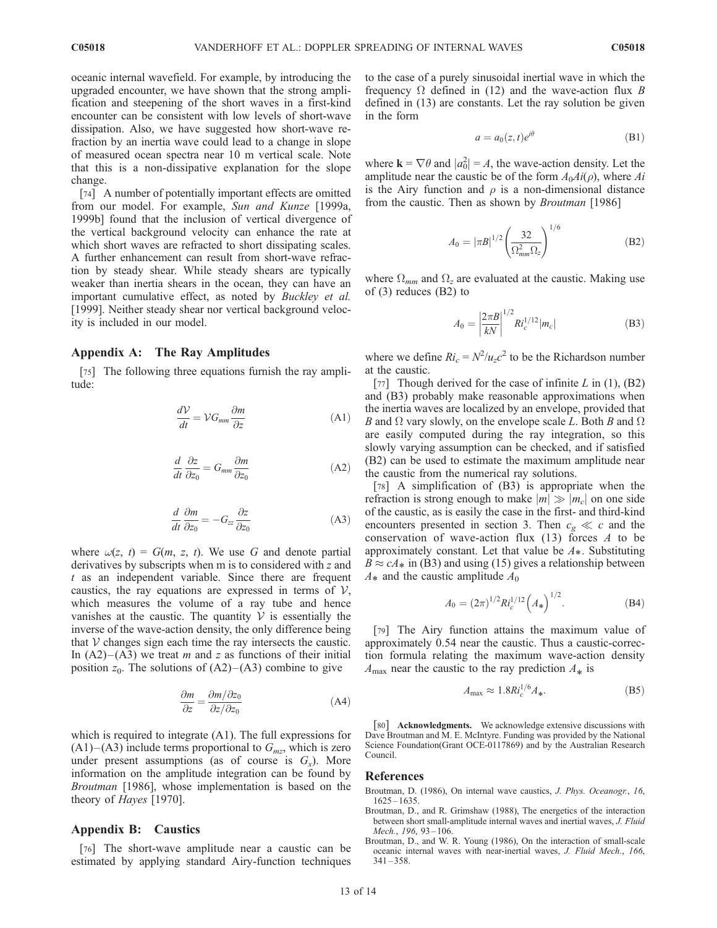oceanic internal wavefield. For example, by introducing the upgraded encounter, we have shown that the strong amplification and steepening of the short waves in a first-kind encounter can be consistent with low levels of short-wave dissipation. Also, we have suggested how short-wave refraction by an inertia wave could lead to a change in slope of measured ocean spectra near 10 m vertical scale. Note that this is a non-dissipative explanation for the slope change.

[74] A number of potentially important effects are omitted from our model. For example, Sun and Kunze [1999a, 1999b] found that the inclusion of vertical divergence of the vertical background velocity can enhance the rate at which short waves are refracted to short dissipating scales. A further enhancement can result from short-wave refraction by steady shear. While steady shears are typically weaker than inertia shears in the ocean, they can have an important cumulative effect, as noted by Buckley et al. [1999]. Neither steady shear nor vertical background velocity is included in our model.

# Appendix A: The Ray Amplitudes

[75] The following three equations furnish the ray amplitude:

$$
\frac{dV}{dt} = V G_{mm} \frac{\partial m}{\partial z} \tag{A1}
$$

$$
\frac{d}{dt}\frac{\partial z}{\partial z_0} = G_{mm}\frac{\partial m}{\partial z_0} \tag{A2}
$$

$$
\frac{d}{dt}\frac{\partial m}{\partial z_0} = -G_{zz}\frac{\partial z}{\partial z_0} \tag{A3}
$$

where  $\omega(z, t) = G(m, z, t)$ . We use G and denote partial derivatives by subscripts when m is to considered with z and  $t$  as an independent variable. Since there are frequent caustics, the ray equations are expressed in terms of  $\mathcal{V}$ , which measures the volume of a ray tube and hence vanishes at the caustic. The quantity  $V$  is essentially the inverse of the wave-action density, the only difference being that  $V$  changes sign each time the ray intersects the caustic. In  $(A2)$ – $(A3)$  we treat *m* and *z* as functions of their initial position  $z_0$ . The solutions of  $(A2)$ – $(A3)$  combine to give

$$
\frac{\partial m}{\partial z} = \frac{\partial m / \partial z_0}{\partial z / \partial z_0} \tag{A4}
$$

which is required to integrate (A1). The full expressions for  $(A1)$ – $(A3)$  include terms proportional to  $G<sub>mz</sub>$ , which is zero under present assumptions (as of course is  $G_x$ ). More information on the amplitude integration can be found by Broutman [1986], whose implementation is based on the theory of Hayes [1970].

# Appendix B: Caustics

[76] The short-wave amplitude near a caustic can be estimated by applying standard Airy-function techniques to the case of a purely sinusoidal inertial wave in which the frequency  $\Omega$  defined in (12) and the wave-action flux B defined in (13) are constants. Let the ray solution be given in the form

$$
a = a_0(z, t)e^{i\theta} \tag{B1}
$$

where  $\mathbf{k} = \nabla \theta$  and  $|a_0^2| = A$ , the wave-action density. Let the amplitude near the caustic be of the form  $A_0A_i(\rho)$ , where  $Ai$ is the Airy function and  $\rho$  is a non-dimensional distance from the caustic. Then as shown by *Broutman* [1986]

$$
A_0 = |\pi B|^{1/2} \left(\frac{32}{\Omega_{mm}^2 \Omega_z}\right)^{1/6}
$$
 (B2)

where  $\Omega_{mm}$  and  $\Omega_z$  are evaluated at the caustic. Making use of (3) reduces (B2) to

$$
A_0 = \left| \frac{2\pi B}{kN} \right|^{1/2} R l_c^{1/12} |m_c|
$$
 (B3)

where we define  $Ri_c = N^2/u_c c^2$  to be the Richardson number at the caustic.

[77] Though derived for the case of infinite  $L$  in (1), (B2) and (B3) probably make reasonable approximations when the inertia waves are localized by an envelope, provided that B and  $\Omega$  vary slowly, on the envelope scale L. Both B and  $\Omega$ are easily computed during the ray integration, so this slowly varying assumption can be checked, and if satisfied (B2) can be used to estimate the maximum amplitude near the caustic from the numerical ray solutions.

[78] A simplification of (B3) is appropriate when the refraction is strong enough to make  $|m| \gg |m_c|$  on one side of the caustic, as is easily the case in the first- and third-kind encounters presented in section 3. Then  $c_g \ll c$  and the conservation of wave-action flux  $(13)$  forces A to be approximately constant. Let that value be  $A_{\ast}$ . Substituting  $B \approx cA_*$  in (B3) and using (15) gives a relationship between  $A_*$  and the caustic amplitude  $A_0$ 

$$
A_0 = (2\pi)^{1/2} R_c^{1/12} (A_*)^{1/2}.
$$
 (B4)

[79] The Airy function attains the maximum value of approximately 0.54 near the caustic. Thus a caustic-correction formula relating the maximum wave-action density  $A_{\text{max}}$  near the caustic to the ray prediction  $A_*$  is

$$
A_{\text{max}} \approx 1.8R i_c^{1/6} A_*.\tag{B5}
$$

[80] **Acknowledgments.** We acknowledge extensive discussions with Dave Broutman and M. E. McIntyre. Funding was provided by the National Science Foundation(Grant OCE-0117869) and by the Australian Research Council.

#### References

- Broutman, D. (1986), On internal wave caustics, J. Phys. Oceanogr., 16, 1625 – 1635.
- Broutman, D., and R. Grimshaw (1988), The energetics of the interaction between short small-amplitude internal waves and inertial waves, J. Fluid Mech., 196, 93-106.
- Broutman, D., and W. R. Young (1986), On the interaction of small-scale oceanic internal waves with near-inertial waves, J. Fluid Mech., 166,  $341 - 358$